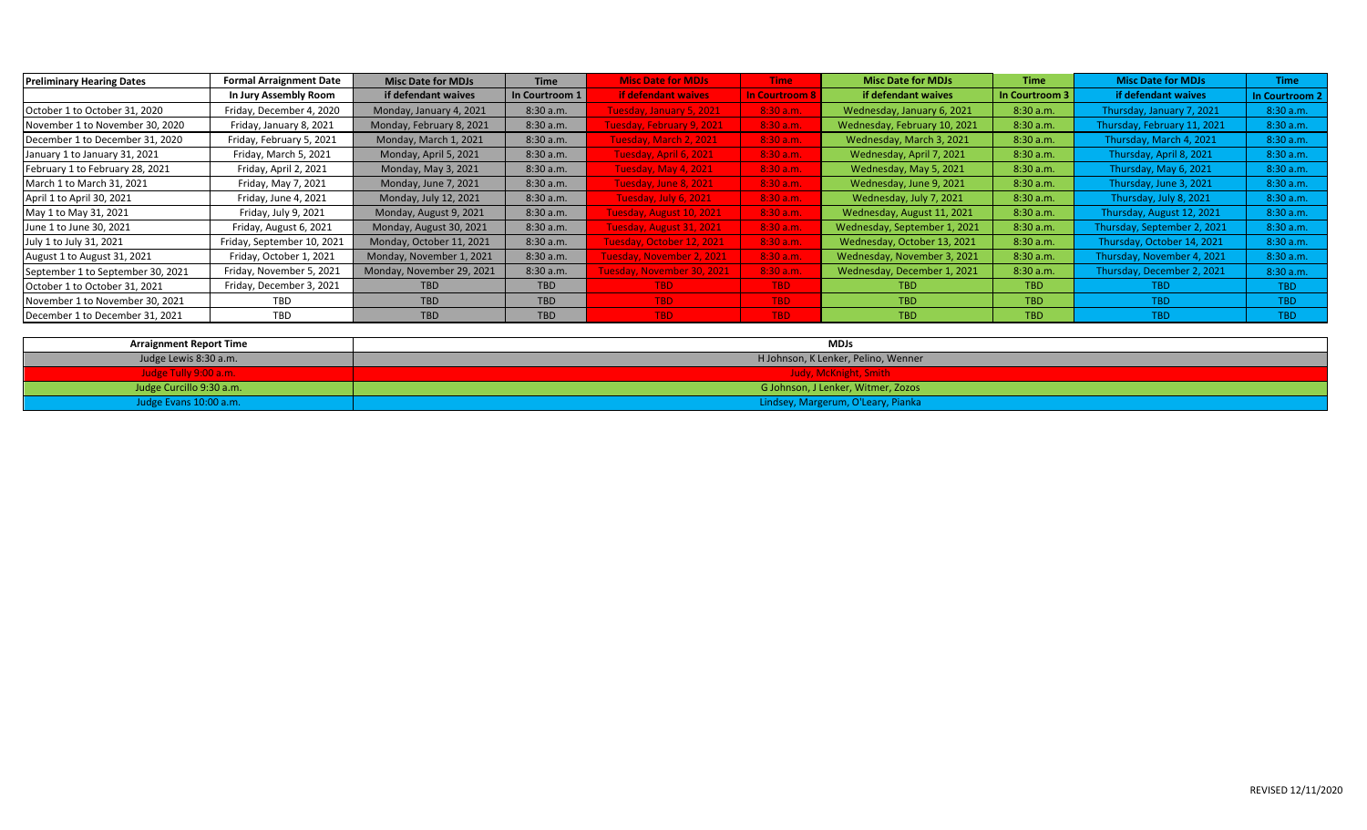| <b>Preliminary Hearing Dates</b>  | <b>Formal Arraignment Date</b> | <b>Misc Date for MDJs</b> | <b>Time</b>    | <b>Misc Date for MDJs</b>  | <b>Time</b>    | <b>Misc Date for MDJs</b>    | <b>Time</b>    | <b>Misc Date for MDJs</b>   | <b>Time</b>    |
|-----------------------------------|--------------------------------|---------------------------|----------------|----------------------------|----------------|------------------------------|----------------|-----------------------------|----------------|
|                                   | In Jury Assembly Room          | if defendant waives       | In Courtroom 1 | if defendant waives        | In Courtroom 8 | if defendant waives          | In Courtroom 3 | if defendant waives         | In Courtroom 2 |
| October 1 to October 31, 2020     | Friday, December 4, 2020       | Monday, January 4, 2021   | 8:30a.m.       | Tuesday, January 5, 2021   | 8:30a.m.       | Wednesday, January 6, 2021   | 8:30 a.m.      | Thursday, January 7, 2021   | 8:30 a.m.      |
| November 1 to November 30, 2020   | Friday, January 8, 2021        | Monday, February 8, 2021  | 8:30a.m.       | Tuesday, February 9, 2021  | 8:30 a.m.      | Wednesday, February 10, 2021 | 8:30 a.m.      | Thursday, February 11, 2021 | 8:30 a.m.      |
| December 1 to December 31, 2020   | Friday, February 5, 2021       | Monday, March 1, 2021     | 8:30a.m.       | Tuesday, March 2, 2021     | 8:30a.m.       | Wednesday, March 3, 2021     | 8:30 a.m.      | Thursday, March 4, 2021     | 8:30 a.m.      |
| January 1 to January 31, 2021     | Friday, March 5, 2021          | Monday, April 5, 2021     | 8:30 a.m.      | Tuesday, April 6, 2021     | 8:30a.m.       | Wednesday, April 7, 2021     | 8:30 a.m.      | Thursday, April 8, 2021     | 8:30 a.m.      |
| February 1 to February 28, 2021   | Friday, April 2, 2021          | Monday, May 3, 2021       | 8:30a.m.       | Tuesday, May 4, 2021       | 8:30a.m.       | Wednesday, May 5, 2021       | 8:30 a.m.      | Thursday, May 6, 2021       | 8:30 a.m.      |
| March 1 to March 31, 2021         | Friday, May 7, 2021            | Monday, June 7, 2021      | 8:30a.m.       | Tuesday, June 8, 2021      | 8:30a.m.       | Wednesday, June 9, 2021      | 8:30 a.m.      | Thursday, June 3, 2021      | 8:30 a.m.      |
| April 1 to April 30, 2021         | Friday, June 4, 2021           | Monday, July 12, 2021     | 8:30a.m.       | Tuesday, July 6, 2021      | 8:30 a.m.      | Wednesday, July 7, 2021      | 8:30 a.m.      | Thursday, July 8, 2021      | 8:30 a.m.      |
| May 1 to May 31, 2021             | Friday, July 9, 2021           | Monday, August 9, 2021    | 8:30a.m.       | Tuesday, August 10, 2021   | 8:30 a.m.      | Wednesday, August 11, 2021   | 8:30 a.m.      | Thursday, August 12, 2021   | 8:30 a.m.      |
| June 1 to June 30, 2021           | Friday, August 6, 2021         | Monday, August 30, 2021   | 8:30a.m.       | Tuesday, August 31, 2021   | 8:30 a.m.      | Wednesday, September 1, 2021 | 8:30 a.m.      | Thursday, September 2, 2021 | 8:30 a.m.      |
| July 1 to July 31, 2021           | Friday, September 10, 2021     | Monday, October 11, 2021  | 8:30a.m.       | Tuesday, October 12, 2021  | 8:30 a.m.      | Wednesday, October 13, 2021  | 8:30 a.m.      | Thursday, October 14, 2021  | 8:30 a.m.      |
| August 1 to August 31, 2021       | Friday, October 1, 2021        | Monday, November 1, 2021  | 8:30a.m.       | Tuesday, November 2, 2021  | 8:30 a.m.      | Wednesday, November 3, 2021  | 8:30 a.m.      | Thursday, November 4, 2021  | 8:30 a.m.      |
| September 1 to September 30, 2021 | Friday, November 5, 2021       | Monday, November 29, 2021 | 8:30a.m.       | Tuesday, November 30, 2021 | 8:30 a.m.      | Wednesday, December 1, 2021  | 8:30 a.m.      | Thursday, December 2, 2021  | 8:30 a.m.      |
| October 1 to October 31, 2021     | Friday, December 3, 2021       | <b>TBD</b>                | <b>TBD</b>     | TBD.                       | <b>TBD</b>     | TBD                          | TBD            | TBD.                        | TBD            |
| November 1 to November 30, 2021   | TBD                            | <b>TBD</b>                | <b>TBD</b>     | <b>TBD</b>                 | <b>TBD</b>     | TBD                          | TBD            | TBD                         | TBD.           |
| December 1 to December 31, 2021   | TBD                            | <b>TBD</b>                | <b>TBD</b>     | TBD.                       | TBD            | TBD                          | TBD            | TBD                         | TBD            |

| <b>Arraignment Report Time</b> | <b>MDJs</b>                         |
|--------------------------------|-------------------------------------|
| Judge Lewis 8:30 a.m.          | H Johnson, K Lenker, Pelino, Wenner |
| Judge Tully 9:00 a.m.          | Judy, McKnight, Smith               |
| Judge Curcillo 9:30 a.m.       | G Johnson, J Lenker, Witmer, Zozos  |
| Judge Evans 10:00 a.m.         | Lindsey, Margerum, O'Leary, Pianka  |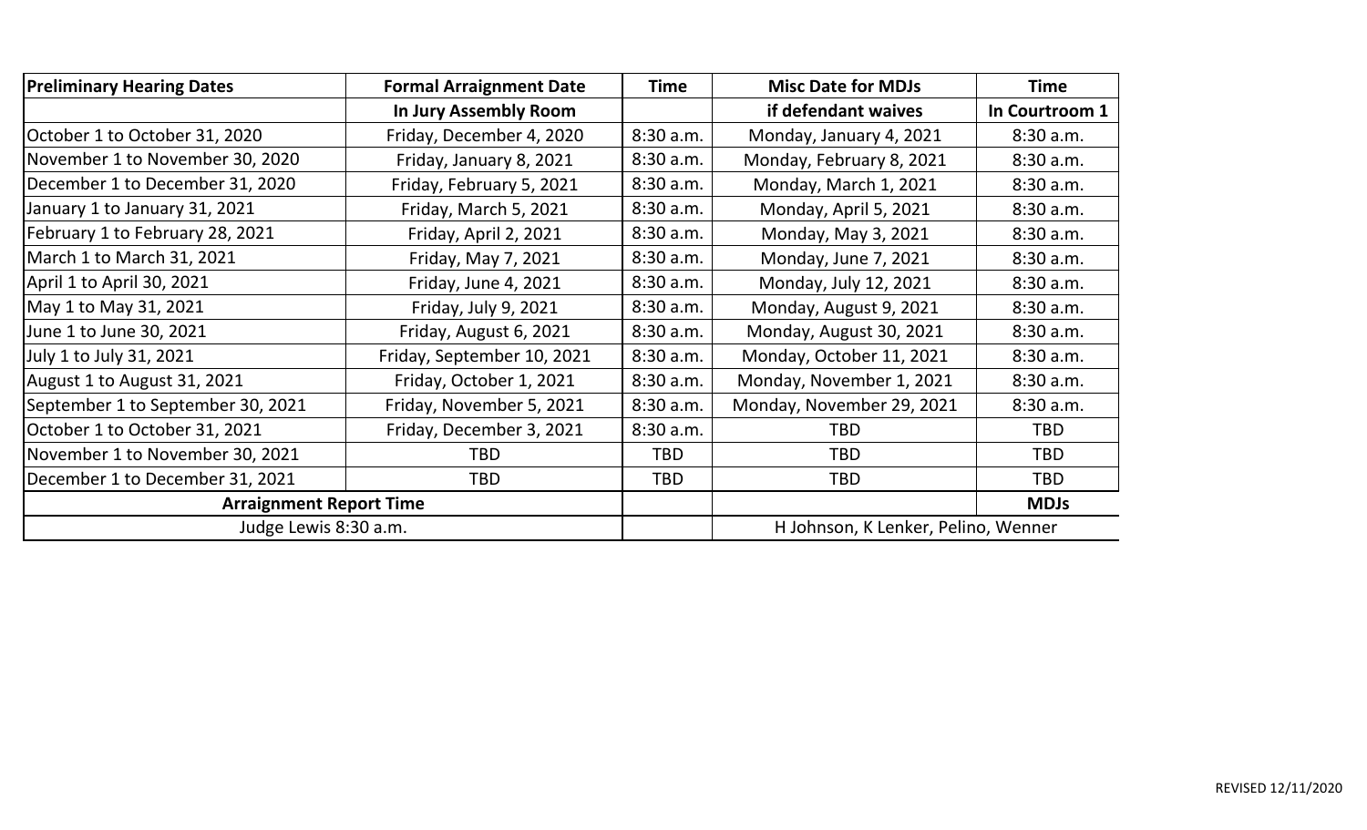| <b>Preliminary Hearing Dates</b>  | <b>Formal Arraignment Date</b> | <b>Time</b> | <b>Misc Date for MDJs</b>           | <b>Time</b>    |
|-----------------------------------|--------------------------------|-------------|-------------------------------------|----------------|
|                                   | In Jury Assembly Room          |             | if defendant waives                 | In Courtroom 1 |
| October 1 to October 31, 2020     | Friday, December 4, 2020       | 8:30 a.m.   | Monday, January 4, 2021             | 8:30 a.m.      |
| November 1 to November 30, 2020   | Friday, January 8, 2021        | 8:30 a.m.   | Monday, February 8, 2021            | 8:30 a.m.      |
| December 1 to December 31, 2020   | Friday, February 5, 2021       | 8:30 a.m.   | Monday, March 1, 2021               | 8:30 a.m.      |
| January 1 to January 31, 2021     | Friday, March 5, 2021          | 8:30 a.m.   | Monday, April 5, 2021               | 8:30 a.m.      |
| February 1 to February 28, 2021   | Friday, April 2, 2021          | 8:30 a.m.   | Monday, May 3, 2021                 | 8:30 a.m.      |
| March 1 to March 31, 2021         | Friday, May 7, 2021            | 8:30 a.m.   | Monday, June 7, 2021                | 8:30 a.m.      |
| April 1 to April 30, 2021         | Friday, June 4, 2021           | 8:30a.m.    | Monday, July 12, 2021               | 8:30 a.m.      |
| May 1 to May 31, 2021             | Friday, July 9, 2021           | 8:30 a.m.   | Monday, August 9, 2021              | 8:30 a.m.      |
| June 1 to June 30, 2021           | Friday, August 6, 2021         | 8:30 a.m.   | Monday, August 30, 2021             | 8:30 a.m.      |
| July 1 to July 31, 2021           | Friday, September 10, 2021     | 8:30a.m.    | Monday, October 11, 2021            | 8:30 a.m.      |
| August 1 to August 31, 2021       | Friday, October 1, 2021        | 8:30 a.m.   | Monday, November 1, 2021            | 8:30 a.m.      |
| September 1 to September 30, 2021 | Friday, November 5, 2021       | 8:30 a.m.   | Monday, November 29, 2021           | 8:30 a.m.      |
| October 1 to October 31, 2021     | Friday, December 3, 2021       | 8:30 a.m.   | <b>TBD</b>                          | <b>TBD</b>     |
| November 1 to November 30, 2021   | TBD                            | <b>TBD</b>  | <b>TBD</b>                          | <b>TBD</b>     |
| December 1 to December 31, 2021   | <b>TBD</b>                     | <b>TBD</b>  | <b>TBD</b>                          | <b>TBD</b>     |
| <b>Arraignment Report Time</b>    |                                |             |                                     | <b>MDJs</b>    |
| Judge Lewis 8:30 a.m.             |                                |             | H Johnson, K Lenker, Pelino, Wenner |                |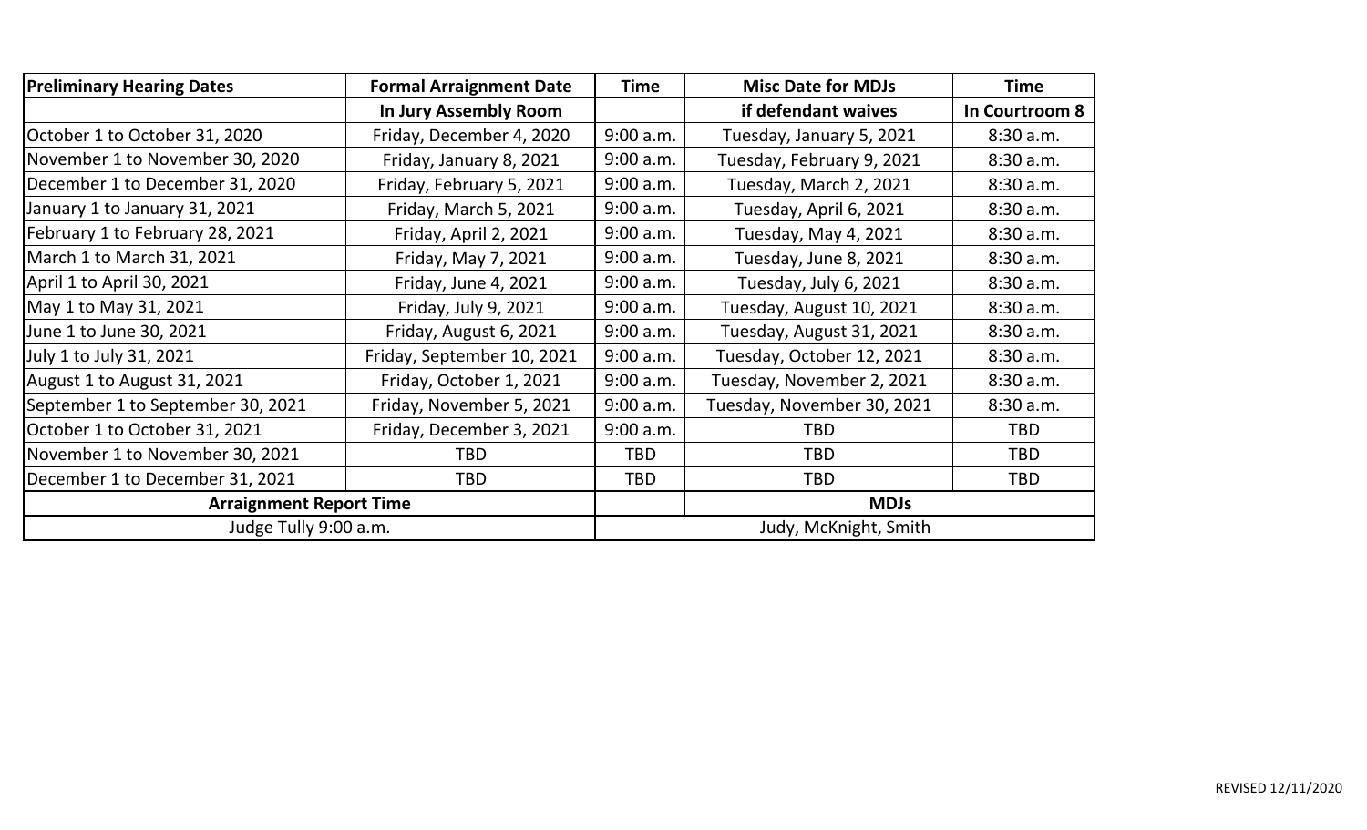| <b>Preliminary Hearing Dates</b>  | <b>Formal Arraignment Date</b> | <b>Time</b> | <b>Misc Date for MDJs</b>  | <b>Time</b>    |  |  |
|-----------------------------------|--------------------------------|-------------|----------------------------|----------------|--|--|
|                                   | In Jury Assembly Room          |             | if defendant waives        | In Courtroom 8 |  |  |
| October 1 to October 31, 2020     | Friday, December 4, 2020       | 9:00 a.m.   | Tuesday, January 5, 2021   | 8:30 a.m.      |  |  |
| November 1 to November 30, 2020   | Friday, January 8, 2021        | 9:00 a.m.   | Tuesday, February 9, 2021  | 8:30 a.m.      |  |  |
| December 1 to December 31, 2020   | Friday, February 5, 2021       | 9:00 a.m.   | Tuesday, March 2, 2021     | 8:30 a.m.      |  |  |
| January 1 to January 31, 2021     | Friday, March 5, 2021          | 9:00 a.m.   | Tuesday, April 6, 2021     | 8:30 a.m.      |  |  |
| February 1 to February 28, 2021   | Friday, April 2, 2021          | 9:00 a.m.   | Tuesday, May 4, 2021       | 8:30 a.m.      |  |  |
| March 1 to March 31, 2021         | Friday, May 7, 2021            | 9:00 a.m.   | Tuesday, June 8, 2021      | 8:30a.m.       |  |  |
| April 1 to April 30, 2021         | Friday, June 4, 2021           | 9:00 a.m.   | Tuesday, July 6, 2021      | 8:30 a.m.      |  |  |
| May 1 to May 31, 2021             | Friday, July 9, 2021           | 9:00 a.m.   | Tuesday, August 10, 2021   | 8:30 a.m.      |  |  |
| June 1 to June 30, 2021           | Friday, August 6, 2021         | 9:00 a.m.   | Tuesday, August 31, 2021   | 8:30 a.m.      |  |  |
| July 1 to July 31, 2021           | Friday, September 10, 2021     | 9:00 a.m.   | Tuesday, October 12, 2021  | 8:30 a.m.      |  |  |
| August 1 to August 31, 2021       | Friday, October 1, 2021        | 9:00 a.m.   | Tuesday, November 2, 2021  | 8:30 a.m.      |  |  |
| September 1 to September 30, 2021 | Friday, November 5, 2021       | 9:00 a.m.   | Tuesday, November 30, 2021 | 8:30 a.m.      |  |  |
| October 1 to October 31, 2021     | Friday, December 3, 2021       | 9:00 a.m.   | <b>TBD</b>                 | <b>TBD</b>     |  |  |
| November 1 to November 30, 2021   | TBD                            | <b>TBD</b>  | <b>TBD</b>                 | <b>TBD</b>     |  |  |
| December 1 to December 31, 2021   | <b>TBD</b>                     | <b>TBD</b>  | <b>TBD</b>                 | <b>TBD</b>     |  |  |
| <b>Arraignment Report Time</b>    |                                |             | <b>MDJs</b>                |                |  |  |
| Judge Tully 9:00 a.m.             |                                |             | Judy, McKnight, Smith      |                |  |  |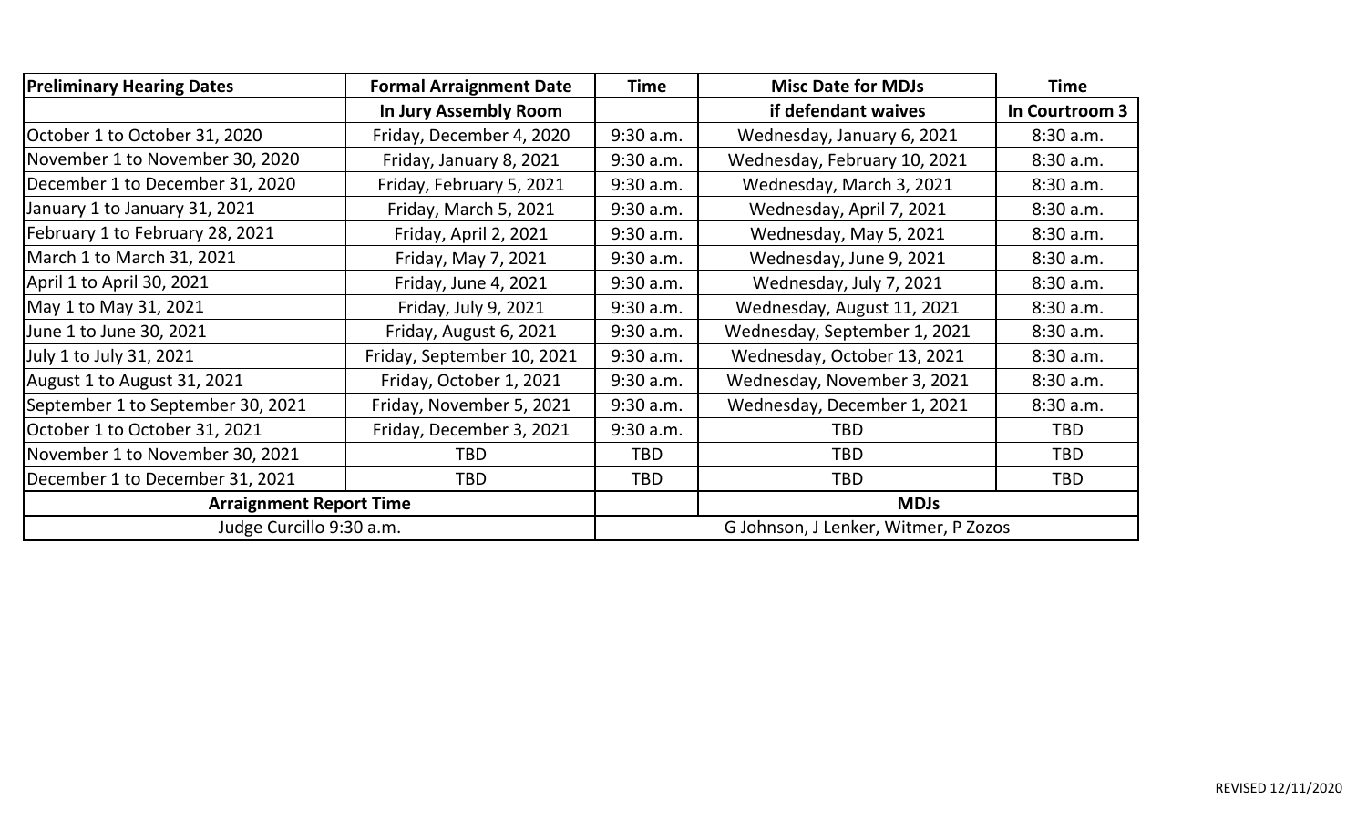| <b>Preliminary Hearing Dates</b>  | <b>Formal Arraignment Date</b> | <b>Time</b> | <b>Misc Date for MDJs</b>            | <b>Time</b>    |
|-----------------------------------|--------------------------------|-------------|--------------------------------------|----------------|
|                                   | In Jury Assembly Room          |             | if defendant waives                  | In Courtroom 3 |
| October 1 to October 31, 2020     | Friday, December 4, 2020       | 9:30 a.m.   | Wednesday, January 6, 2021           | 8:30 a.m.      |
| November 1 to November 30, 2020   | Friday, January 8, 2021        | 9:30 a.m.   | Wednesday, February 10, 2021         | 8:30 a.m.      |
| December 1 to December 31, 2020   | Friday, February 5, 2021       | 9:30 a.m.   | Wednesday, March 3, 2021             | 8:30 a.m.      |
| January 1 to January 31, 2021     | Friday, March 5, 2021          | 9:30 a.m.   | Wednesday, April 7, 2021             | 8:30 a.m.      |
| February 1 to February 28, 2021   | Friday, April 2, 2021          | 9:30 a.m.   | Wednesday, May 5, 2021               | 8:30 a.m.      |
| March 1 to March 31, 2021         | Friday, May 7, 2021            | 9:30 a.m.   | Wednesday, June 9, 2021              | 8:30 a.m.      |
| April 1 to April 30, 2021         | Friday, June 4, 2021           | 9:30 a.m.   | Wednesday, July 7, 2021              | 8:30 a.m.      |
| May 1 to May 31, 2021             | Friday, July 9, 2021           | 9:30 a.m.   | Wednesday, August 11, 2021           | 8:30 a.m.      |
| June 1 to June 30, 2021           | Friday, August 6, 2021         | 9:30 a.m.   | Wednesday, September 1, 2021         | 8:30 a.m.      |
| July 1 to July 31, 2021           | Friday, September 10, 2021     | 9:30 a.m.   | Wednesday, October 13, 2021          | 8:30 a.m.      |
| August 1 to August 31, 2021       | Friday, October 1, 2021        | 9:30 a.m.   | Wednesday, November 3, 2021          | 8:30 a.m.      |
| September 1 to September 30, 2021 | Friday, November 5, 2021       | 9:30 a.m.   | Wednesday, December 1, 2021          | 8:30 a.m.      |
| October 1 to October 31, 2021     | Friday, December 3, 2021       | 9:30 a.m.   | <b>TBD</b>                           | <b>TBD</b>     |
| November 1 to November 30, 2021   | <b>TBD</b>                     | <b>TBD</b>  | <b>TBD</b>                           | <b>TBD</b>     |
| December 1 to December 31, 2021   | <b>TBD</b>                     | <b>TBD</b>  | <b>TBD</b>                           | <b>TBD</b>     |
| <b>Arraignment Report Time</b>    |                                |             | <b>MDJs</b>                          |                |
| Judge Curcillo 9:30 a.m.          |                                |             | G Johnson, J Lenker, Witmer, P Zozos |                |